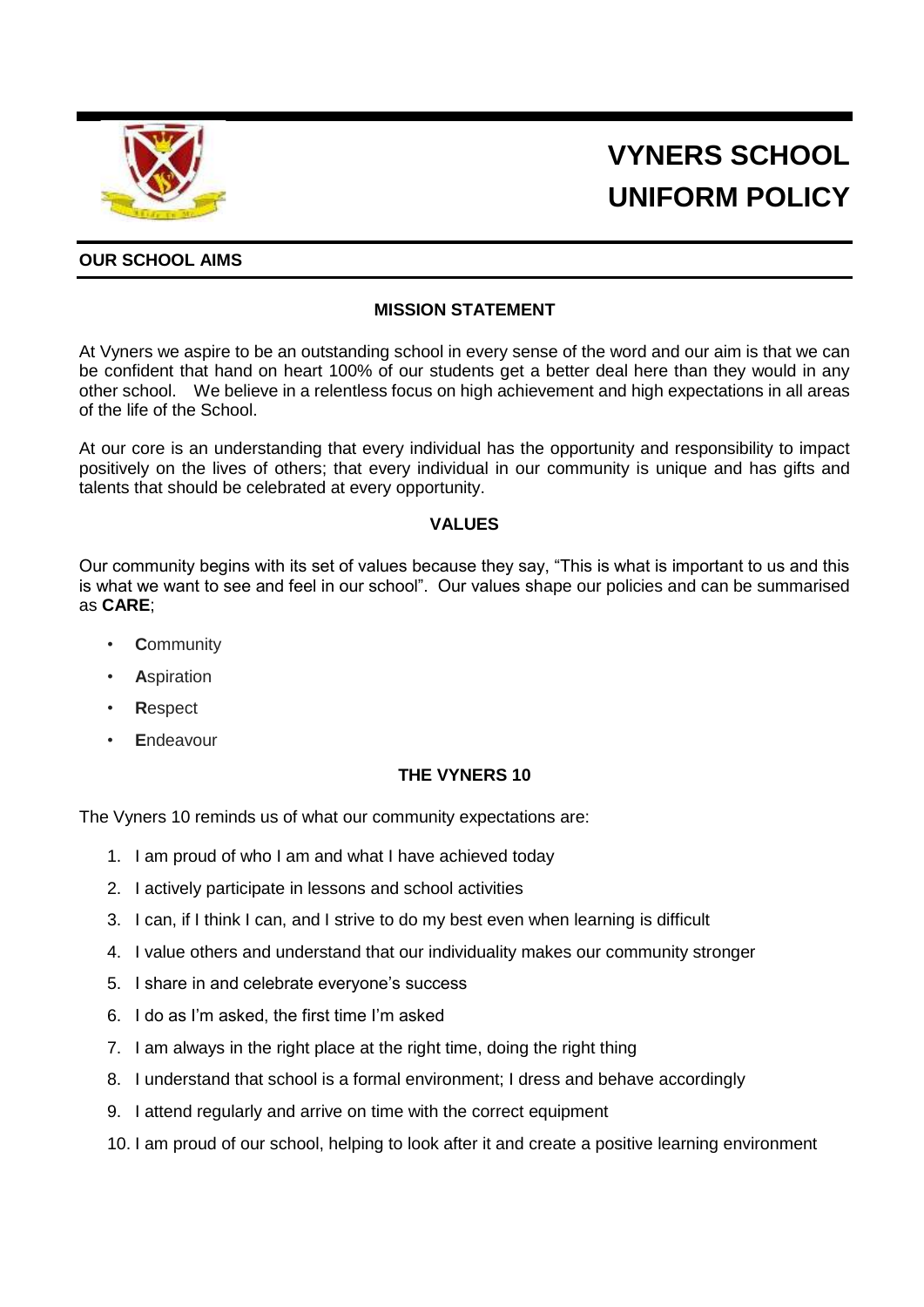

# **VYNERS SCHOOL UNIFORM POLICY**

# **OUR SCHOOL AIMS**

# **MISSION STATEMENT**

At Vyners we aspire to be an outstanding school in every sense of the word and our aim is that we can be confident that hand on heart 100% of our students get a better deal here than they would in any other school. We believe in a relentless focus on high achievement and high expectations in all areas of the life of the School.

At our core is an understanding that every individual has the opportunity and responsibility to impact positively on the lives of others; that every individual in our community is unique and has gifts and talents that should be celebrated at every opportunity.

#### **VALUES**

Our community begins with its set of values because they say, "This is what is important to us and this is what we want to see and feel in our school". Our values shape our policies and can be summarised as **CARE**;

- **C**ommunity
- **A**spiration
- **R**espect
- **E**ndeavour

#### **THE VYNERS 10**

The Vyners 10 reminds us of what our community expectations are:

- 1. I am proud of who I am and what I have achieved today
- 2. I actively participate in lessons and school activities
- 3. I can, if I think I can, and I strive to do my best even when learning is difficult
- 4. I value others and understand that our individuality makes our community stronger
- 5. I share in and celebrate everyone's success
- 6. I do as I'm asked, the first time I'm asked
- 7. I am always in the right place at the right time, doing the right thing
- 8. I understand that school is a formal environment; I dress and behave accordingly
- 9. I attend regularly and arrive on time with the correct equipment
- 10. I am proud of our school, helping to look after it and create a positive learning environment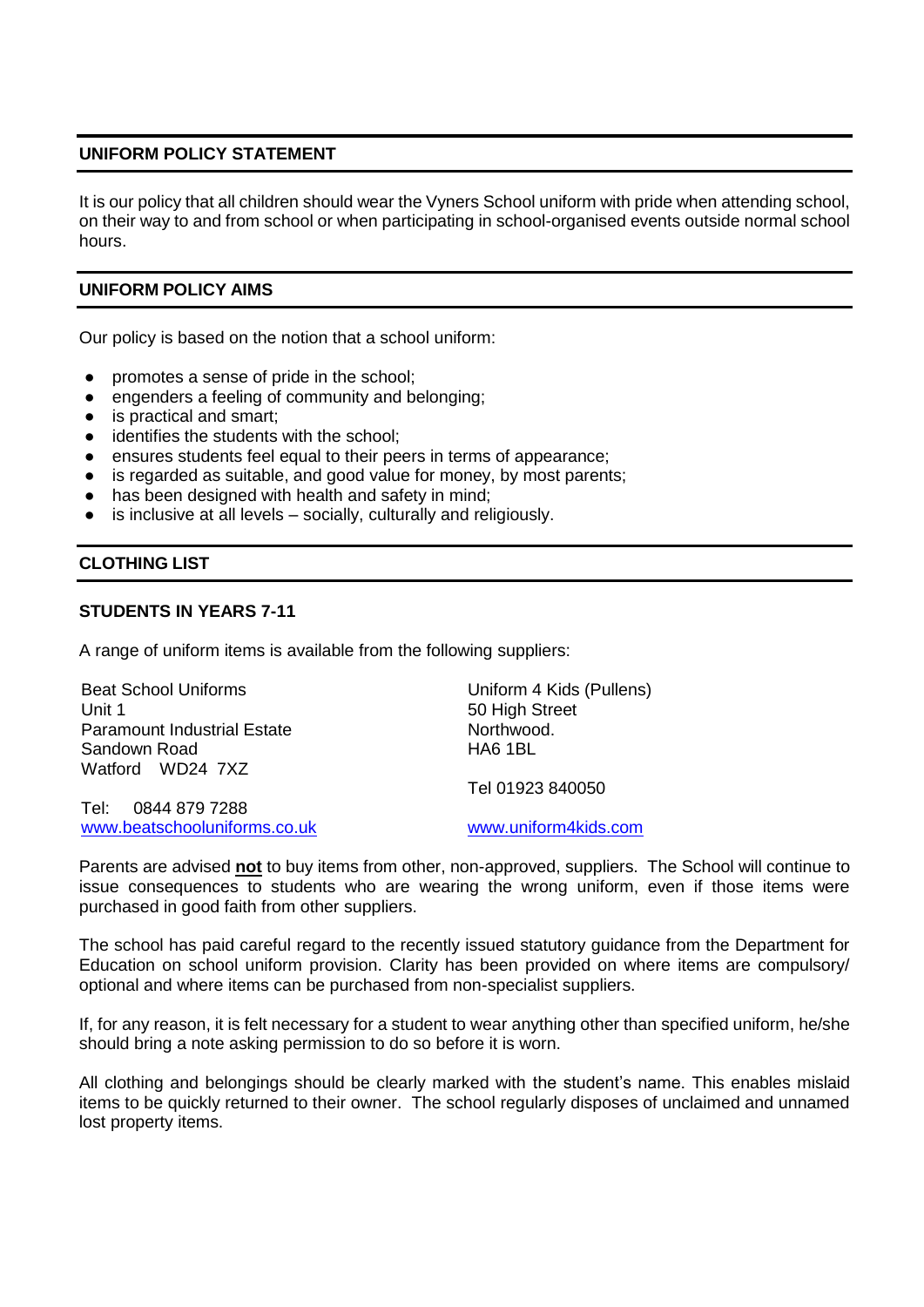#### **UNIFORM POLICY STATEMENT**

It is our policy that all children should wear the Vyners School uniform with pride when attending school, on their way to and from school or when participating in school-organised events outside normal school hours.

#### **UNIFORM POLICY AIMS**

Our policy is based on the notion that a school uniform:

- promotes a sense of pride in the school;
- engenders a feeling of community and belonging;
- is practical and smart;
- identifies the students with the school;
- ensures students feel equal to their peers in terms of appearance;
- is regarded as suitable, and good value for money, by most parents;
- has been designed with health and safety in mind;
- is inclusive at all levels  $-$  socially, culturally and religiously.

#### **CLOTHING LIST**

#### **STUDENTS IN YEARS 7-11**

A range of uniform items is available from the following suppliers:

| <b>Beat School Uniforms</b>        | Uniform 4 Kids (Pullens) |
|------------------------------------|--------------------------|
| Unit 1                             | 50 High Street           |
| <b>Paramount Industrial Estate</b> | Northwood.               |
| Sandown Road                       | HA6 1BL                  |
| Watford WD24 7XZ                   |                          |
|                                    | Tel 01923 840050         |
| Tel: 0844 879 7288                 |                          |
| www.beatschooluniforms.co.uk       | www.uniform4kids.com     |
|                                    |                          |

Parents are advised **not** to buy items from other, non-approved, suppliers. The School will continue to issue consequences to students who are wearing the wrong uniform, even if those items were purchased in good faith from other suppliers.

The school has paid careful regard to the recently issued statutory guidance from the Department for Education on school uniform provision. Clarity has been provided on where items are compulsory/ optional and where items can be purchased from non-specialist suppliers.

If, for any reason, it is felt necessary for a student to wear anything other than specified uniform, he/she should bring a note asking permission to do so before it is worn.

All clothing and belongings should be clearly marked with the student's name. This enables mislaid items to be quickly returned to their owner. The school regularly disposes of unclaimed and unnamed lost property items.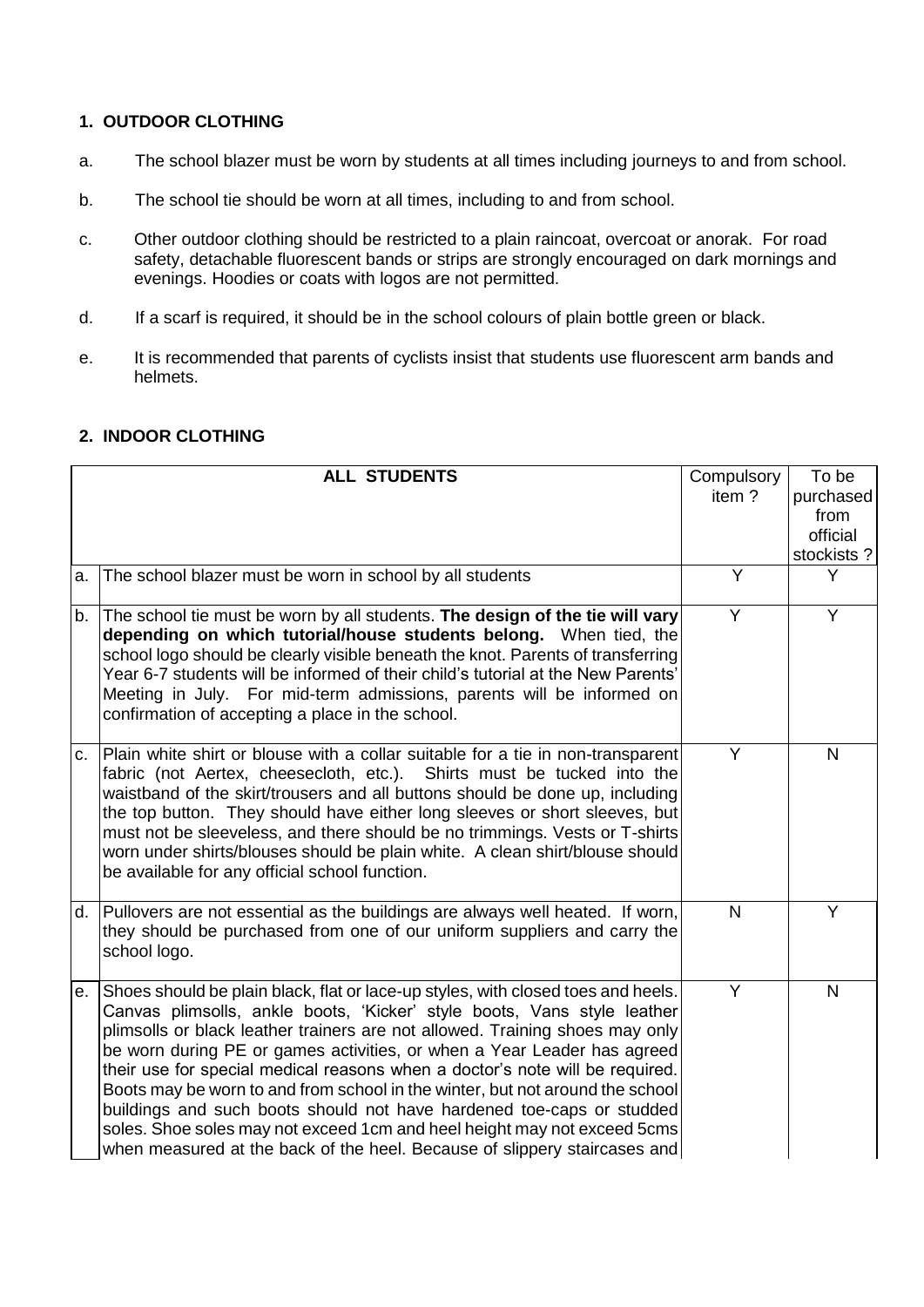#### **1. OUTDOOR CLOTHING**

- a. The school blazer must be worn by students at all times including journeys to and from school.
- b. The school tie should be worn at all times, including to and from school.
- c. Other outdoor clothing should be restricted to a plain raincoat, overcoat or anorak. For road safety, detachable fluorescent bands or strips are strongly encouraged on dark mornings and evenings. Hoodies or coats with logos are not permitted.
- d. If a scarf is required, it should be in the school colours of plain bottle green or black.
- e. It is recommended that parents of cyclists insist that students use fluorescent arm bands and helmets.

# **2. INDOOR CLOTHING**

|    | <b>ALL STUDENTS</b>                                                                                                                                                                                                                                                                                                                                                                                                                                                                                                                                                                                                                                                                                                       | Compulsory<br>item? | To be<br>purchased<br>from<br>official<br>stockists? |
|----|---------------------------------------------------------------------------------------------------------------------------------------------------------------------------------------------------------------------------------------------------------------------------------------------------------------------------------------------------------------------------------------------------------------------------------------------------------------------------------------------------------------------------------------------------------------------------------------------------------------------------------------------------------------------------------------------------------------------------|---------------------|------------------------------------------------------|
| a. | The school blazer must be worn in school by all students                                                                                                                                                                                                                                                                                                                                                                                                                                                                                                                                                                                                                                                                  | Y                   | Y                                                    |
| b. | The school tie must be worn by all students. The design of the tie will vary<br>depending on which tutorial/house students belong. When tied, the<br>school logo should be clearly visible beneath the knot. Parents of transferring<br>Year 6-7 students will be informed of their child's tutorial at the New Parents'<br>Meeting in July. For mid-term admissions, parents will be informed on<br>confirmation of accepting a place in the school.                                                                                                                                                                                                                                                                     | Y                   | Y                                                    |
| C. | Plain white shirt or blouse with a collar suitable for a tie in non-transparent<br>fabric (not Aertex, cheesecloth, etc.). Shirts must be tucked into the<br>waistband of the skirt/trousers and all buttons should be done up, including<br>the top button. They should have either long sleeves or short sleeves, but<br>must not be sleeveless, and there should be no trimmings. Vests or T-shirts<br>worn under shirts/blouses should be plain white. A clean shirt/blouse should<br>be available for any official school function.                                                                                                                                                                                  | Y                   | N                                                    |
| d. | Pullovers are not essential as the buildings are always well heated. If worn,<br>they should be purchased from one of our uniform suppliers and carry the<br>school logo.                                                                                                                                                                                                                                                                                                                                                                                                                                                                                                                                                 | N                   | Y                                                    |
| е. | Shoes should be plain black, flat or lace-up styles, with closed toes and heels.<br>Canvas plimsolls, ankle boots, 'Kicker' style boots, Vans style leather<br>plimsolls or black leather trainers are not allowed. Training shoes may only<br>be worn during PE or games activities, or when a Year Leader has agreed<br>their use for special medical reasons when a doctor's note will be required.<br>Boots may be worn to and from school in the winter, but not around the school<br>buildings and such boots should not have hardened toe-caps or studded<br>soles. Shoe soles may not exceed 1cm and heel height may not exceed 5cms<br>when measured at the back of the heel. Because of slippery staircases and | Y                   | $\overline{N}$                                       |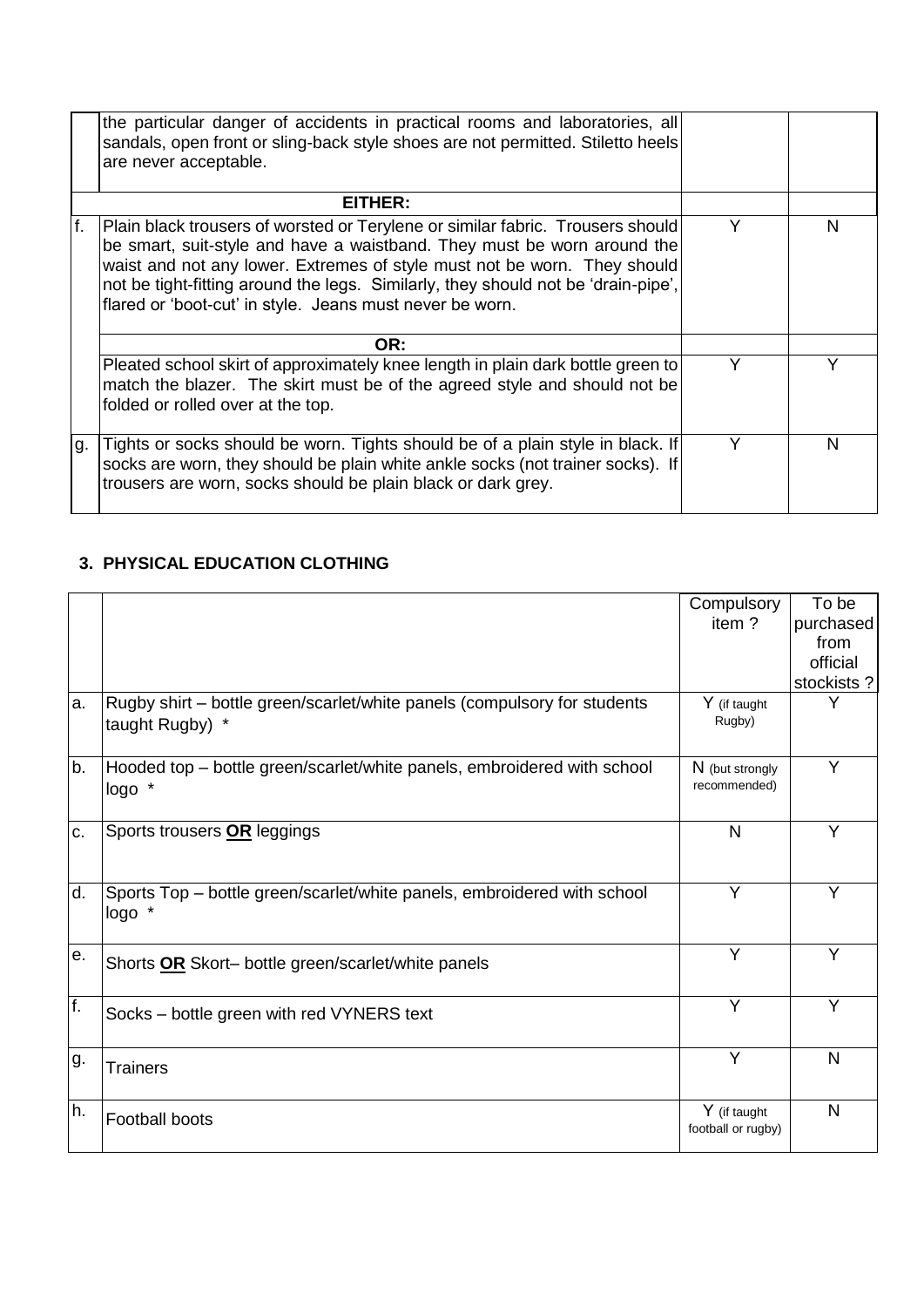|    | the particular danger of accidents in practical rooms and laboratories, all<br>sandals, open front or sling-back style shoes are not permitted. Stiletto heels<br>are never acceptable.                                                                                                                                                                                                |   |   |
|----|----------------------------------------------------------------------------------------------------------------------------------------------------------------------------------------------------------------------------------------------------------------------------------------------------------------------------------------------------------------------------------------|---|---|
|    | EITHER:                                                                                                                                                                                                                                                                                                                                                                                |   |   |
| f. | Plain black trousers of worsted or Terylene or similar fabric. Trousers should<br>be smart, suit-style and have a waistband. They must be worn around the<br>waist and not any lower. Extremes of style must not be worn. They should<br>not be tight-fitting around the legs. Similarly, they should not be 'drain-pipe',<br>flared or 'boot-cut' in style. Jeans must never be worn. |   | N |
|    | OR:                                                                                                                                                                                                                                                                                                                                                                                    |   |   |
|    | Pleated school skirt of approximately knee length in plain dark bottle green to<br>match the blazer. The skirt must be of the agreed style and should not be<br>folded or rolled over at the top.                                                                                                                                                                                      | Υ |   |
| g. | Tights or socks should be worn. Tights should be of a plain style in black. If<br>socks are worn, they should be plain white ankle socks (not trainer socks). If<br>trousers are worn, socks should be plain black or dark grey.                                                                                                                                                       |   | N |

# **3. PHYSICAL EDUCATION CLOTHING**

|     |                                                                                             | Compulsory<br>item?                | To be<br>purchased<br>from<br>official<br>stockists? |
|-----|---------------------------------------------------------------------------------------------|------------------------------------|------------------------------------------------------|
| a.  | Rugby shirt – bottle green/scarlet/white panels (compulsory for students<br>taught Rugby) * | Y (if taught<br>Rugby)             | Υ                                                    |
| b.  | Hooded top – bottle green/scarlet/white panels, embroidered with school<br>logo *           | N (but strongly<br>recommended)    | Y                                                    |
| c.  | Sports trousers OR leggings                                                                 | N                                  | Υ                                                    |
| d.  | Sports Top – bottle green/scarlet/white panels, embroidered with school<br>logo *           | Y                                  | Y                                                    |
| le. | Shorts OR Skort- bottle green/scarlet/white panels                                          | Y                                  | Y                                                    |
| f.  | Socks – bottle green with red VYNERS text                                                   | Y                                  | Y                                                    |
| g.  | <b>Trainers</b>                                                                             | Y                                  | N                                                    |
| h.  | <b>Football boots</b>                                                                       | Y (if taught<br>football or rugby) | N                                                    |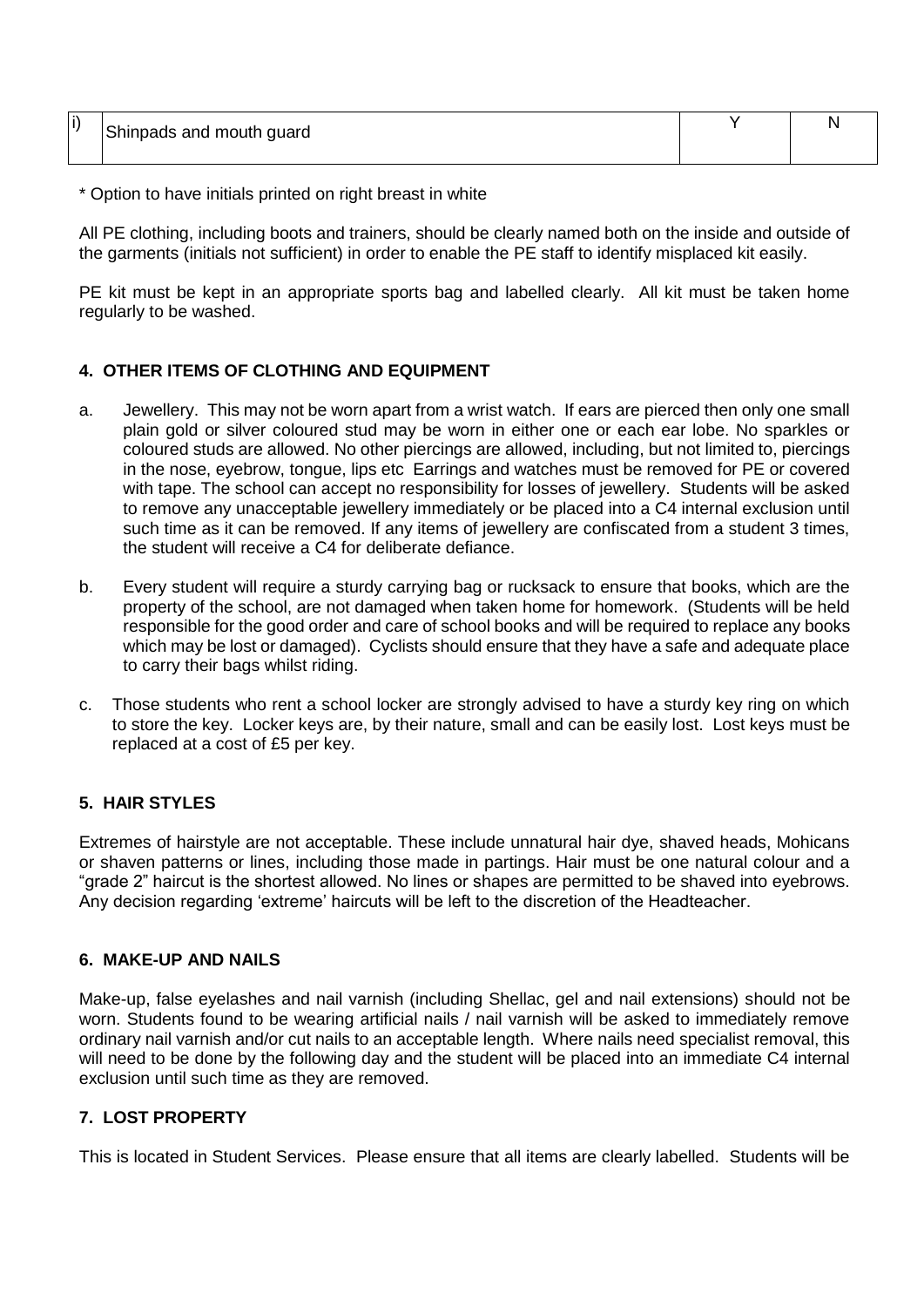| $\cdot$ | Shinpads and mouth guard |  |
|---------|--------------------------|--|
|         |                          |  |
|         |                          |  |

\* Option to have initials printed on right breast in white

All PE clothing, including boots and trainers, should be clearly named both on the inside and outside of the garments (initials not sufficient) in order to enable the PE staff to identify misplaced kit easily.

PE kit must be kept in an appropriate sports bag and labelled clearly. All kit must be taken home regularly to be washed.

#### **4. OTHER ITEMS OF CLOTHING AND EQUIPMENT**

- a. Jewellery. This may not be worn apart from a wrist watch. If ears are pierced then only one small plain gold or silver coloured stud may be worn in either one or each ear lobe. No sparkles or coloured studs are allowed. No other piercings are allowed, including, but not limited to, piercings in the nose, eyebrow, tongue, lips etc Earrings and watches must be removed for PE or covered with tape. The school can accept no responsibility for losses of jewellery. Students will be asked to remove any unacceptable jewellery immediately or be placed into a C4 internal exclusion until such time as it can be removed. If any items of jewellery are confiscated from a student 3 times, the student will receive a C4 for deliberate defiance.
- b. Every student will require a sturdy carrying bag or rucksack to ensure that books, which are the property of the school, are not damaged when taken home for homework. (Students will be held responsible for the good order and care of school books and will be required to replace any books which may be lost or damaged). Cyclists should ensure that they have a safe and adequate place to carry their bags whilst riding.
- c. Those students who rent a school locker are strongly advised to have a sturdy key ring on which to store the key. Locker keys are, by their nature, small and can be easily lost. Lost keys must be replaced at a cost of £5 per key.

#### **5. HAIR STYLES**

Extremes of hairstyle are not acceptable. These include unnatural hair dye, shaved heads, Mohicans or shaven patterns or lines, including those made in partings. Hair must be one natural colour and a "grade 2" haircut is the shortest allowed. No lines or shapes are permitted to be shaved into eyebrows. Any decision regarding 'extreme' haircuts will be left to the discretion of the Headteacher.

# **6. MAKE-UP AND NAILS**

Make-up, false eyelashes and nail varnish (including Shellac, gel and nail extensions) should not be worn. Students found to be wearing artificial nails / nail varnish will be asked to immediately remove ordinary nail varnish and/or cut nails to an acceptable length. Where nails need specialist removal, this will need to be done by the following day and the student will be placed into an immediate C4 internal exclusion until such time as they are removed.

#### **7. LOST PROPERTY**

This is located in Student Services. Please ensure that all items are clearly labelled. Students will be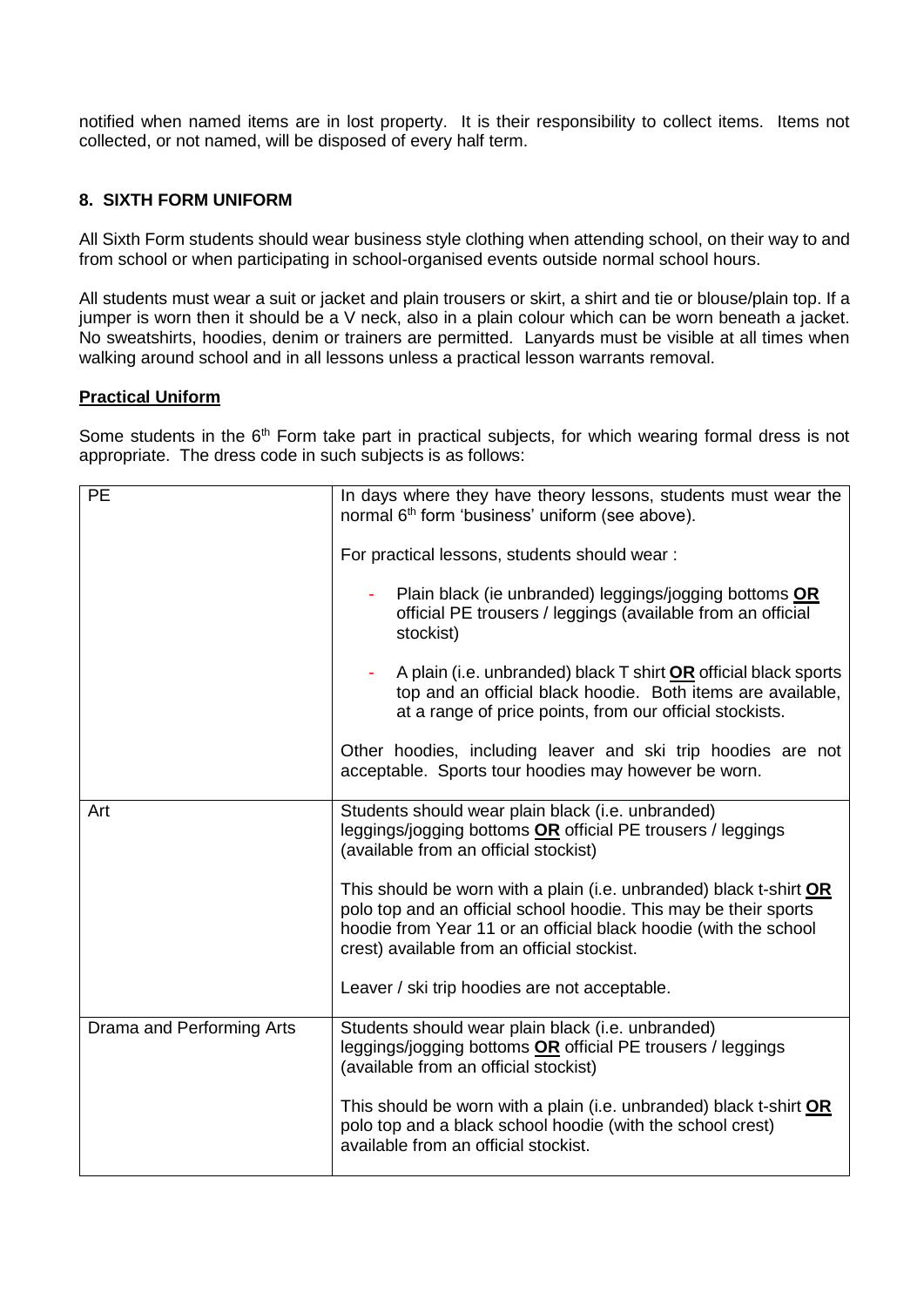notified when named items are in lost property. It is their responsibility to collect items. Items not collected, or not named, will be disposed of every half term.

# **8. SIXTH FORM UNIFORM**

All Sixth Form students should wear business style clothing when attending school, on their way to and from school or when participating in school-organised events outside normal school hours.

All students must wear a suit or jacket and plain trousers or skirt, a shirt and tie or blouse/plain top. If a jumper is worn then it should be a V neck, also in a plain colour which can be worn beneath a jacket. No sweatshirts, hoodies, denim or trainers are permitted. Lanyards must be visible at all times when walking around school and in all lessons unless a practical lesson warrants removal.

#### **Practical Uniform**

Some students in the 6<sup>th</sup> Form take part in practical subjects, for which wearing formal dress is not appropriate. The dress code in such subjects is as follows:

| <b>PE</b>                 | In days where they have theory lessons, students must wear the<br>normal 6 <sup>th</sup> form 'business' uniform (see above).<br>For practical lessons, students should wear:<br>Plain black (ie unbranded) leggings/jogging bottoms OR<br>official PE trousers / leggings (available from an official<br>stockist)<br>A plain (i.e. unbranded) black T shirt OR official black sports<br>top and an official black hoodie. Both items are available, |
|---------------------------|-------------------------------------------------------------------------------------------------------------------------------------------------------------------------------------------------------------------------------------------------------------------------------------------------------------------------------------------------------------------------------------------------------------------------------------------------------|
|                           | at a range of price points, from our official stockists.<br>Other hoodies, including leaver and ski trip hoodies are not<br>acceptable. Sports tour hoodies may however be worn.                                                                                                                                                                                                                                                                      |
| Art                       | Students should wear plain black (i.e. unbranded)<br>leggings/jogging bottoms OR official PE trousers / leggings<br>(available from an official stockist)                                                                                                                                                                                                                                                                                             |
|                           | This should be worn with a plain (i.e. unbranded) black t-shirt OR<br>polo top and an official school hoodie. This may be their sports<br>hoodie from Year 11 or an official black hoodie (with the school<br>crest) available from an official stockist.                                                                                                                                                                                             |
|                           | Leaver / ski trip hoodies are not acceptable.                                                                                                                                                                                                                                                                                                                                                                                                         |
| Drama and Performing Arts | Students should wear plain black (i.e. unbranded)<br>leggings/jogging bottoms OR official PE trousers / leggings<br>(available from an official stockist)                                                                                                                                                                                                                                                                                             |
|                           | This should be worn with a plain (i.e. unbranded) black t-shirt OR<br>polo top and a black school hoodie (with the school crest)<br>available from an official stockist.                                                                                                                                                                                                                                                                              |